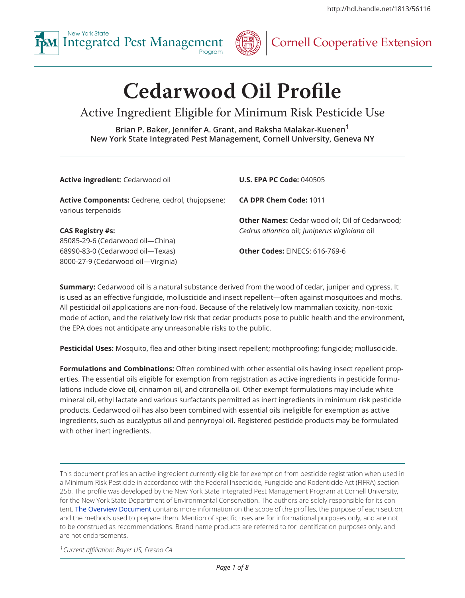



## **Cornell Cooperative Extension**

# **Cedarwood Oil Profile**

## Active Ingredient Eligible for Minimum Risk Pesticide Use

**Brian P. Baker, Jennifer A. Grant, and Raksha Malakar-Kuenen1 New York State Integrated Pest Management, Cornell University, Geneva NY**

| Active ingredient: Cedarwood oil                                             | <b>U.S. EPA PC Code: 040505</b>                       |
|------------------------------------------------------------------------------|-------------------------------------------------------|
| <b>Active Components:</b> Cedrene, cedrol, thujopsene;<br>various terpenoids | CA DPR Chem Code: 1011                                |
|                                                                              | <b>Other Names:</b> Cedar wood oil; Oil of Cedarwood; |
| <b>CAS Registry #s:</b>                                                      | Cedrus atlantica oil; Juniperus virginiana oil        |
| 85085-29-6 (Cedarwood oil-China)                                             |                                                       |
| 68990-83-0 (Cedarwood oil-Texas)                                             | Other Codes: EINECS: 616-769-6                        |
| 8000-27-9 (Cedarwood oil-Virginia)                                           |                                                       |
|                                                                              |                                                       |

**Summary:** Cedarwood oil is a natural substance derived from the wood of cedar, juniper and cypress. It is used as an effective fungicide, molluscicide and insect repellent—often against mosquitoes and moths. All pesticidal oil applications are non-food. Because of the relatively low mammalian toxicity, non-toxic mode of action, and the relatively low risk that cedar products pose to public health and the environment, the EPA does not anticipate any unreasonable risks to the public.

**Pesticidal Uses:** Mosquito, flea and other biting insect repellent; mothproofing; fungicide; molluscicide.

**Formulations and Combinations:** Often combined with other essential oils having insect repellent properties. The essential oils eligible for exemption from registration as active ingredients in pesticide formulations include clove oil, cinnamon oil, and citronella oil. Other exempt formulations may include white mineral oil, ethyl lactate and various surfactants permitted as inert ingredients in minimum risk pesticide products. Cedarwood oil has also been combined with essential oils ineligible for exemption as active ingredients, such as eucalyptus oil and pennyroyal oil. Registered pesticide products may be formulated with other inert ingredients.

This document profiles an active ingredient currently eligible for exemption from pesticide registration when used in a Minimum Risk Pesticide in accordance with the Federal Insecticide, Fungicide and Rodenticide Act (FIFRA) section 25b. The profile was developed by the New York State Integrated Pest Management Program at Cornell University, for the New York State Department of Environmental Conservation. The authors are solely responsible for its content. [The Overview Document](http://hdl.handle.net/1813/52630) contains more information on the scope of the profiles, the purpose of each section, and the methods used to prepare them. Mention of specific uses are for informational purposes only, and are not to be construed as recommendations. Brand name products are referred to for identification purposes only, and are not endorsements.

*1Current affiliation: Bayer US, Fresno CA*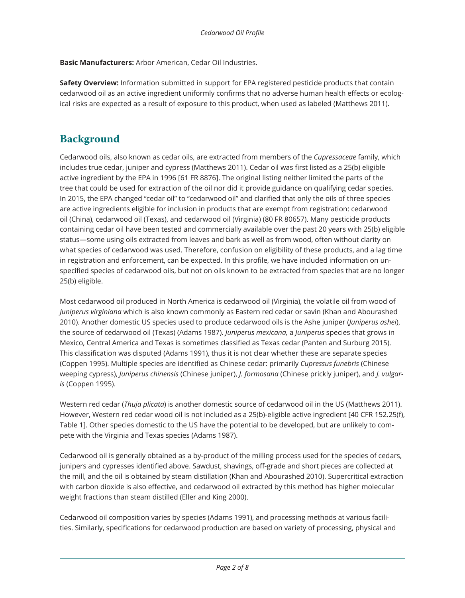**Basic Manufacturers:** Arbor American, Cedar Oil Industries.

**Safety Overview:** Information submitted in support for EPA registered pesticide products that contain cedarwood oil as an active ingredient uniformly confirms that no adverse human health effects or ecological risks are expected as a result of exposure to this product, when used as labeled (Matthews 2011).

## **Background**

Cedarwood oils, also known as cedar oils, are extracted from members of the *Cupressaceae* family, which includes true cedar, juniper and cypress (Matthews 2011). Cedar oil was first listed as a 25(b) eligible active ingredient by the EPA in 1996 [61 FR 8876]. The original listing neither limited the parts of the tree that could be used for extraction of the oil nor did it provide guidance on qualifying cedar species. In 2015, the EPA changed "cedar oil" to "cedarwood oil" and clarified that only the oils of three species are active ingredients eligible for inclusion in products that are exempt from registration: cedarwood oil (China), cedarwood oil (Texas), and cedarwood oil (Virginia) (80 FR 80657). Many pesticide products containing cedar oil have been tested and commercially available over the past 20 years with 25(b) eligible status—some using oils extracted from leaves and bark as well as from wood, often without clarity on what species of cedarwood was used. Therefore, confusion on eligibility of these products, and a lag time in registration and enforcement, can be expected. In this profile, we have included information on unspecified species of cedarwood oils, but not on oils known to be extracted from species that are no longer 25(b) eligible.

Most cedarwood oil produced in North America is cedarwood oil (Virginia), the volatile oil from wood of *Juniperus virginiana* which is also known commonly as Eastern red cedar or savin (Khan and Abourashed 2010). Another domestic US species used to produce cedarwood oils is the Ashe juniper (*Juniperus ashei*), the source of cedarwood oil (Texas) (Adams 1987). *Juniperus mexicana,* a *Juniperus* species that grows in Mexico, Central America and Texas is sometimes classified as Texas cedar (Panten and Surburg 2015). This classification was disputed (Adams 1991), thus it is not clear whether these are separate species (Coppen 1995). Multiple species are identified as Chinese cedar: primarily *Cupressus funebris* (Chinese weeping cypress), *Juniperus chinensis* (Chinese juniper), *J. formosana* (Chinese prickly juniper), and *J. vulgaris* (Coppen 1995).

Western red cedar (*Thuja plicata*) is another domestic source of cedarwood oil in the US (Matthews 2011). However, Western red cedar wood oil is not included as a 25(b)-eligible active ingredient [40 CFR 152.25(f), Table 1]. Other species domestic to the US have the potential to be developed, but are unlikely to compete with the Virginia and Texas species (Adams 1987).

Cedarwood oil is generally obtained as a by-product of the milling process used for the species of cedars, junipers and cypresses identified above. Sawdust, shavings, off-grade and short pieces are collected at the mill, and the oil is obtained by steam distillation (Khan and Abourashed 2010). Supercritical extraction with carbon dioxide is also effective, and cedarwood oil extracted by this method has higher molecular weight fractions than steam distilled (Eller and King 2000).

Cedarwood oil composition varies by species (Adams 1991), and processing methods at various facilities. Similarly, specifications for cedarwood production are based on variety of processing, physical and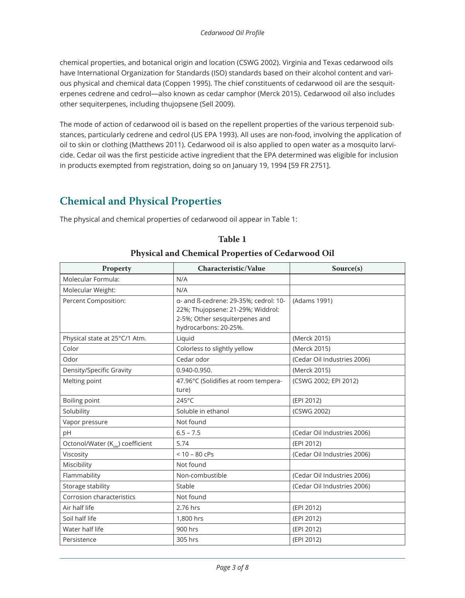chemical properties, and botanical origin and location (CSWG 2002). Virginia and Texas cedarwood oils have International Organization for Standards (ISO) standards based on their alcohol content and various physical and chemical data (Coppen 1995). The chief constituents of cedarwood oil are the sesquiterpenes cedrene and cedrol—also known as cedar camphor (Merck 2015). Cedarwood oil also includes other sequiterpenes, including thujopsene (Sell 2009).

The mode of action of cedarwood oil is based on the repellent properties of the various terpenoid substances, particularly cedrene and cedrol (US EPA 1993). All uses are non-food, involving the application of oil to skin or clothing (Matthews 2011). Cedarwood oil is also applied to open water as a mosquito larvicide. Cedar oil was the first pesticide active ingredient that the EPA determined was eligible for inclusion in products exempted from registration, doing so on January 19, 1994 [59 FR 2751].

### **Chemical and Physical Properties**

The physical and chemical properties of cedarwood oil appear in Table 1:

| <b>Property</b>                              | Characteristic/Value                                                                                                                  | Source(s)                   |
|----------------------------------------------|---------------------------------------------------------------------------------------------------------------------------------------|-----------------------------|
| Molecular Formula:                           | N/A                                                                                                                                   |                             |
| Molecular Weight:                            | N/A                                                                                                                                   |                             |
| Percent Composition:                         | a- and ß-cedrene: 29-35%; cedrol: 10-<br>22%; Thujopsene: 21-29%; Widdrol:<br>2-5%; Other sesquiterpenes and<br>hydrocarbons: 20-25%. | (Adams 1991)                |
| Physical state at 25°C/1 Atm.                | Liquid                                                                                                                                | (Merck 2015)                |
| Color                                        | Colorless to slightly yellow                                                                                                          | (Merck 2015)                |
| Odor                                         | Cedar odor                                                                                                                            | (Cedar Oil Industries 2006) |
| Density/Specific Gravity                     | 0.940-0.950.                                                                                                                          | (Merck 2015)                |
| Melting point                                | 47.96°C (Solidifies at room tempera-<br>ture)                                                                                         | (CSWG 2002; EPI 2012)       |
| Boiling point                                | 245°C                                                                                                                                 | (EPI 2012)                  |
| Solubility                                   | Soluble in ethanol                                                                                                                    | (CSWG 2002)                 |
| Vapor pressure                               | Not found                                                                                                                             |                             |
| pH                                           | $6.5 - 7.5$                                                                                                                           | (Cedar Oil Industries 2006) |
| Octonol/Water (K <sub>ow</sub> ) coefficient | 5.74                                                                                                                                  | (EPI 2012)                  |
| Viscosity                                    | $< 10 - 80$ cPs                                                                                                                       | (Cedar Oil Industries 2006) |
| Miscibility                                  | Not found                                                                                                                             |                             |
| Flammability                                 | Non-combustible                                                                                                                       | (Cedar Oil Industries 2006) |
| Storage stability                            | Stable                                                                                                                                | (Cedar Oil Industries 2006) |
| Corrosion characteristics                    | Not found                                                                                                                             |                             |
| Air half life                                | 2.76 hrs                                                                                                                              | (EPI 2012)                  |
| Soil half life                               | 1,800 hrs                                                                                                                             | (EPI 2012)                  |
| Water half life                              | 900 hrs                                                                                                                               | (EPI 2012)                  |
| Persistence                                  | 305 hrs                                                                                                                               | (EPI 2012)                  |

**Table 1 Physical and Chemical Properties of Cedarwood Oil**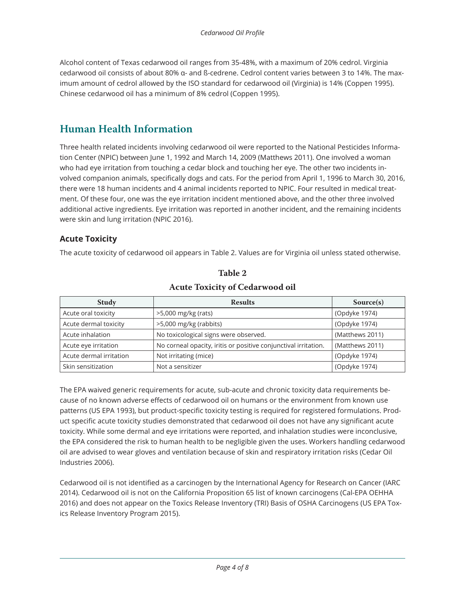Alcohol content of Texas cedarwood oil ranges from 35-48%, with a maximum of 20% cedrol. Virginia cedarwood oil consists of about 80% α- and ß-cedrene. Cedrol content varies between 3 to 14%. The maximum amount of cedrol allowed by the ISO standard for cedarwood oil (Virginia) is 14% (Coppen 1995). Chinese cedarwood oil has a minimum of 8% cedrol (Coppen 1995).

## **Human Health Information**

Three health related incidents involving cedarwood oil were reported to the National Pesticides Information Center (NPIC) between June 1, 1992 and March 14, 2009 (Matthews 2011). One involved a woman who had eye irritation from touching a cedar block and touching her eye. The other two incidents involved companion animals, specifically dogs and cats. For the period from April 1, 1996 to March 30, 2016, there were 18 human incidents and 4 animal incidents reported to NPIC. Four resulted in medical treatment. Of these four, one was the eye irritation incident mentioned above, and the other three involved additional active ingredients. Eye irritation was reported in another incident, and the remaining incidents were skin and lung irritation (NPIC 2016).

#### **Acute Toxicity**

The acute toxicity of cedarwood oil appears in Table 2. Values are for Virginia oil unless stated otherwise.

| <b>Study</b>            | <b>Results</b>                                                  | Source(s)       |
|-------------------------|-----------------------------------------------------------------|-----------------|
| Acute oral toxicity     | >5,000 mg/kg (rats)                                             | (Opdyke 1974)   |
| Acute dermal toxicity   | >5,000 mg/kg (rabbits)                                          | (Opdyke 1974)   |
| Acute inhalation        | No toxicological signs were observed.                           | (Matthews 2011) |
| Acute eye irritation    | No corneal opacity, iritis or positive conjunctival irritation. | (Matthews 2011) |
| Acute dermal irritation | Not irritating (mice)                                           | (Opdyke 1974)   |
| Skin sensitization      | Not a sensitizer                                                | (Opdyke 1974)   |

#### **Table 2 Acute Toxicity of Cedarwood oil**

The EPA waived generic requirements for acute, sub-acute and chronic toxicity data requirements because of no known adverse effects of cedarwood oil on humans or the environment from known use patterns (US EPA 1993), but product-specific toxicity testing is required for registered formulations. Product specific acute toxicity studies demonstrated that cedarwood oil does not have any significant acute toxicity. While some dermal and eye irritations were reported, and inhalation studies were inconclusive, the EPA considered the risk to human health to be negligible given the uses. Workers handling cedarwood oil are advised to wear gloves and ventilation because of skin and respiratory irritation risks (Cedar Oil Industries 2006).

Cedarwood oil is not identified as a carcinogen by the International Agency for Research on Cancer (IARC 2014). Cedarwood oil is not on the California Proposition 65 list of known carcinogens (Cal-EPA OEHHA 2016) and does not appear on the Toxics Release Inventory (TRI) Basis of OSHA Carcinogens (US EPA Toxics Release Inventory Program 2015).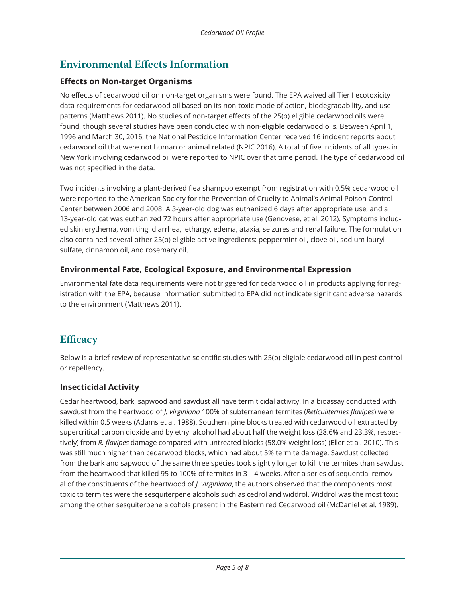## **Environmental Effects Information**

#### **Effects on Non-target Organisms**

No effects of cedarwood oil on non-target organisms were found. The EPA waived all Tier I ecotoxicity data requirements for cedarwood oil based on its non-toxic mode of action, biodegradability, and use patterns (Matthews 2011). No studies of non-target effects of the 25(b) eligible cedarwood oils were found, though several studies have been conducted with non-eligible cedarwood oils. Between April 1, 1996 and March 30, 2016, the National Pesticide Information Center received 16 incident reports about cedarwood oil that were not human or animal related (NPIC 2016). A total of five incidents of all types in New York involving cedarwood oil were reported to NPIC over that time period. The type of cedarwood oil was not specified in the data.

Two incidents involving a plant-derived flea shampoo exempt from registration with 0.5% cedarwood oil were reported to the American Society for the Prevention of Cruelty to Animal's Animal Poison Control Center between 2006 and 2008. A 3-year-old dog was euthanized 6 days after appropriate use, and a 13-year-old cat was euthanized 72 hours after appropriate use (Genovese, et al. 2012). Symptoms included skin erythema, vomiting, diarrhea, lethargy, edema, ataxia, seizures and renal failure. The formulation also contained several other 25(b) eligible active ingredients: peppermint oil, clove oil, sodium lauryl sulfate, cinnamon oil, and rosemary oil.

#### **Environmental Fate, Ecological Exposure, and Environmental Expression**

Environmental fate data requirements were not triggered for cedarwood oil in products applying for registration with the EPA, because information submitted to EPA did not indicate significant adverse hazards to the environment (Matthews 2011).

## **Efficacy**

Below is a brief review of representative scientific studies with 25(b) eligible cedarwood oil in pest control or repellency.

#### **Insecticidal Activity**

Cedar heartwood, bark, sapwood and sawdust all have termiticidal activity. In a bioassay conducted with sawdust from the heartwood of *J. virginiana* 100% of subterranean termites (*Reticulitermes flavipes*) were killed within 0.5 weeks (Adams et al. 1988). Southern pine blocks treated with cedarwood oil extracted by supercritical carbon dioxide and by ethyl alcohol had about half the weight loss (28.6% and 23.3%, respectively) from *R. flavipes* damage compared with untreated blocks (58.0% weight loss) (Eller et al. 2010). This was still much higher than cedarwood blocks, which had about 5% termite damage. Sawdust collected from the bark and sapwood of the same three species took slightly longer to kill the termites than sawdust from the heartwood that killed 95 to 100% of termites in 3 – 4 weeks. After a series of sequential removal of the constituents of the heartwood of *J. virginiana*, the authors observed that the components most toxic to termites were the sesquiterpene alcohols such as cedrol and widdrol. Widdrol was the most toxic among the other sesquiterpene alcohols present in the Eastern red Cedarwood oil (McDaniel et al. 1989).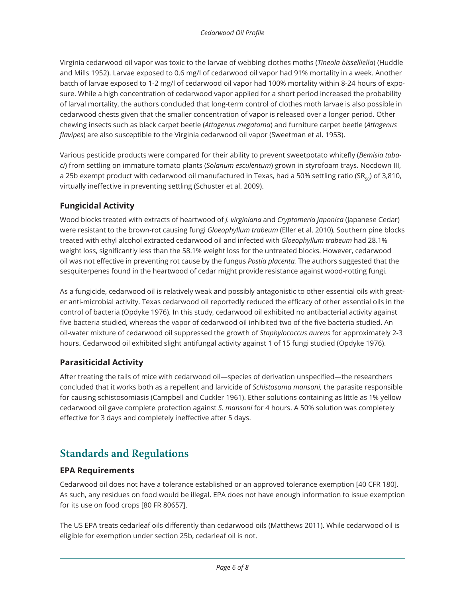Virginia cedarwood oil vapor was toxic to the larvae of webbing clothes moths (*Tineola bisselliella*) (Huddle and Mills 1952). Larvae exposed to 0.6 mg/l of cedarwood oil vapor had 91% mortality in a week. Another batch of larvae exposed to 1-2 mg/l of cedarwood oil vapor had 100% mortality within 8-24 hours of exposure. While a high concentration of cedarwood vapor applied for a short period increased the probability of larval mortality, the authors concluded that long-term control of clothes moth larvae is also possible in cedarwood chests given that the smaller concentration of vapor is released over a longer period. Other chewing insects such as black carpet beetle (*Attagenus megatoma*) and furniture carpet beetle (*Attagenus flavipes*) are also susceptible to the Virginia cedarwood oil vapor (Sweetman et al. 1953).

Various pesticide products were compared for their ability to prevent sweetpotato whitefly (*Bemisia tabaci*) from settling on immature tomato plants (*Solanum esculentum*) grown in styrofoam trays. Nocdown III, a 25b exempt product with cedarwood oil manufactured in Texas, had a 50% settling ratio (SR<sub>50</sub>) of 3,810, virtually ineffective in preventing settling (Schuster et al. 2009).

#### **Fungicidal Activity**

Wood blocks treated with extracts of heartwood of *J. virginiana* and *Cryptomeria japonica* (Japanese Cedar) were resistant to the brown-rot causing fungi *Gloeophyllum trabeum* (Eller et al. 2010)*.* Southern pine blocks treated with ethyl alcohol extracted cedarwood oil and infected with *Gloeophyllum trabeum* had 28.1% weight loss, significantly less than the 58.1% weight loss for the untreated blocks. However, cedarwood oil was not effective in preventing rot cause by the fungus *Postia placenta.* The authors suggested that the sesquiterpenes found in the heartwood of cedar might provide resistance against wood-rotting fungi.

As a fungicide, cedarwood oil is relatively weak and possibly antagonistic to other essential oils with greater anti-microbial activity. Texas cedarwood oil reportedly reduced the efficacy of other essential oils in the control of bacteria (Opdyke 1976). In this study, cedarwood oil exhibited no antibacterial activity against five bacteria studied, whereas the vapor of cedarwood oil inhibited two of the five bacteria studied. An oil-water mixture of cedarwood oil suppressed the growth of *Staphylococcus aureus* for approximately 2-3 hours. Cedarwood oil exhibited slight antifungal activity against 1 of 15 fungi studied (Opdyke 1976).

#### **Parasiticidal Activity**

After treating the tails of mice with cedarwood oil—species of derivation unspecified—the researchers concluded that it works both as a repellent and larvicide of *Schistosoma mansoni,* the parasite responsible for causing schistosomiasis (Campbell and Cuckler 1961). Ether solutions containing as little as 1% yellow cedarwood oil gave complete protection against *S. mansoni* for 4 hours. A 50% solution was completely effective for 3 days and completely ineffective after 5 days.

## **Standards and Regulations**

#### **EPA Requirements**

Cedarwood oil does not have a tolerance established or an approved tolerance exemption [40 CFR 180]. As such, any residues on food would be illegal. EPA does not have enough information to issue exemption for its use on food crops [80 FR 80657].

The US EPA treats cedarleaf oils differently than cedarwood oils (Matthews 2011). While cedarwood oil is eligible for exemption under section 25b, cedarleaf oil is not.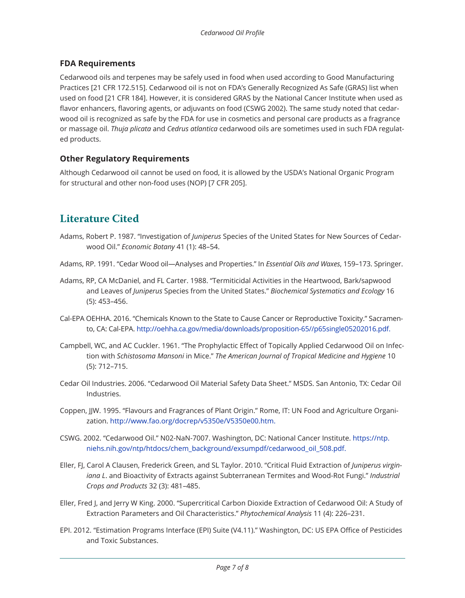#### **FDA Requirements**

Cedarwood oils and terpenes may be safely used in food when used according to Good Manufacturing Practices [21 CFR 172.515]. Cedarwood oil is not on FDA's Generally Recognized As Safe (GRAS) list when used on food [21 CFR 184]. However, it is considered GRAS by the National Cancer Institute when used as flavor enhancers, flavoring agents, or adjuvants on food (CSWG 2002). The same study noted that cedarwood oil is recognized as safe by the FDA for use in cosmetics and personal care products as a fragrance or massage oil. *Thuja plicata* and *Cedrus atlantica* cedarwood oils are sometimes used in such FDA regulated products.

#### **Other Regulatory Requirements**

Although Cedarwood oil cannot be used on food, it is allowed by the USDA's National Organic Program for structural and other non-food uses (NOP) [7 CFR 205].

## **Literature Cited**

- Adams, Robert P. 1987. "Investigation of *Juniperus* Species of the United States for New Sources of Cedarwood Oil." *Economic Botany* 41 (1): 48–54.
- Adams, RP. 1991. "Cedar Wood oil—Analyses and Properties." In *Essential Oils and Waxes*, 159–173. Springer.
- Adams, RP, CA McDaniel, and FL Carter. 1988. "Termiticidal Activities in the Heartwood, Bark/sapwood and Leaves of *Juniperus* Species from the United States." *Biochemical Systematics and Ecology* 16 (5): 453–456.
- Cal-EPA OEHHA. 2016. "Chemicals Known to the State to Cause Cancer or Reproductive Toxicity." Sacramento, CA: Cal-EPA. http://oehha.ca.gov/media/downloads/proposition-65//p65single05202016.pdf.
- Campbell, WC, and AC Cuckler. 1961. "The Prophylactic Effect of Topically Applied Cedarwood Oil on Infection with *Schistosoma Mansoni* in Mice." *The American Journal of Tropical Medicine and Hygiene* 10 (5): 712–715.
- Cedar Oil Industries. 2006. "Cedarwood Oil Material Safety Data Sheet." MSDS. San Antonio, TX: Cedar Oil Industries.
- Coppen, JJW. 1995. "Flavours and Fragrances of Plant Origin." Rome, IT: UN Food and Agriculture Organization. http://www.fao.org/docrep/v5350e/V5350e00.htm.
- CSWG. 2002. "Cedarwood Oil." N02-NaN-7007. Washington, DC: National Cancer Institute. https://ntp. niehs.nih.gov/ntp/htdocs/chem\_background/exsumpdf/cedarwood\_oil\_508.pdf.
- Eller, FJ, Carol A Clausen, Frederick Green, and SL Taylor. 2010. "Critical Fluid Extraction of *Juniperus virginiana L*. and Bioactivity of Extracts against Subterranean Termites and Wood-Rot Fungi." *Industrial Crops and Products* 32 (3): 481–485.
- Eller, Fred J, and Jerry W King. 2000. "Supercritical Carbon Dioxide Extraction of Cedarwood Oil: A Study of Extraction Parameters and Oil Characteristics." *Phytochemical Analysis* 11 (4): 226–231.
- EPI. 2012. "Estimation Programs Interface (EPI) Suite (V4.11)." Washington, DC: US EPA Office of Pesticides and Toxic Substances.